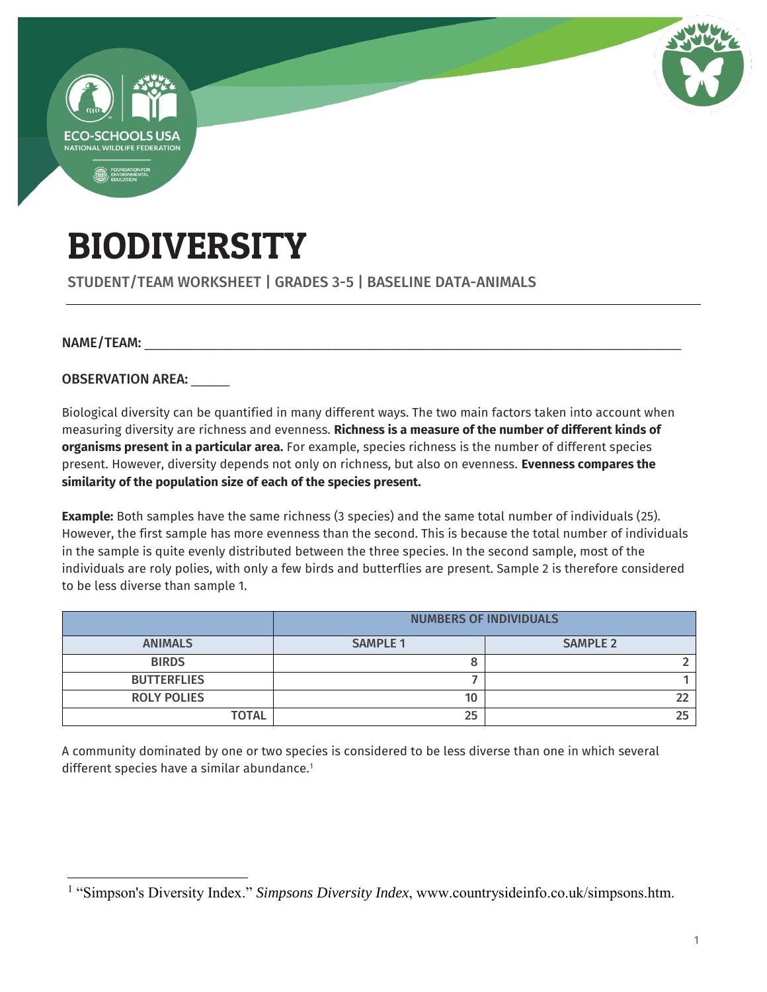

# BIODIVERSITY

STUDENT/TEAM WORKSHEET | GRADES 3-5 | BASELINE DATA-ANIMALS

#### NAME/TEAM:

 $\overline{a}$ 

OBSERVATION AREA:

Biological diversity can be quantified in many different ways. The two main factors taken into account when measuring diversity are richness and evenness. **Richness is a measure of the number of different kinds of organisms present in a particular area.** For example, species richness is the number of different species present. However, diversity depends not only on richness, but also on evenness. **Evenness compares the similarity of the population size of each of the species present.**

**Example:** Both samples have the same richness (3 species) and the same total number of individuals (25). However, the first sample has more evenness than the second. This is because the total number of individuals in the sample is quite evenly distributed between the three species. In the second sample, most of the individuals are roly polies, with only a few birds and butterflies are present. Sample 2 is therefore considered to be less diverse than sample 1.

|                    | <b>NUMBERS OF INDIVIDUALS</b> |                 |  |
|--------------------|-------------------------------|-----------------|--|
| <b>ANIMALS</b>     | <b>SAMPLE 1</b>               | <b>SAMPLE 2</b> |  |
| <b>BIRDS</b>       |                               |                 |  |
| <b>BUTTERFLIES</b> |                               |                 |  |
| <b>ROLY POLIES</b> | 10                            |                 |  |
| <b>TOTAL</b>       | 25                            |                 |  |

A community dominated by one or two species is considered to be less diverse than one in which several different species have a similar abundance.<sup>1</sup>

<sup>&</sup>lt;sup>1</sup> "Simpson's Diversity Index." *Simpsons Diversity Index*, www.countrysideinfo.co.uk/simpsons.htm.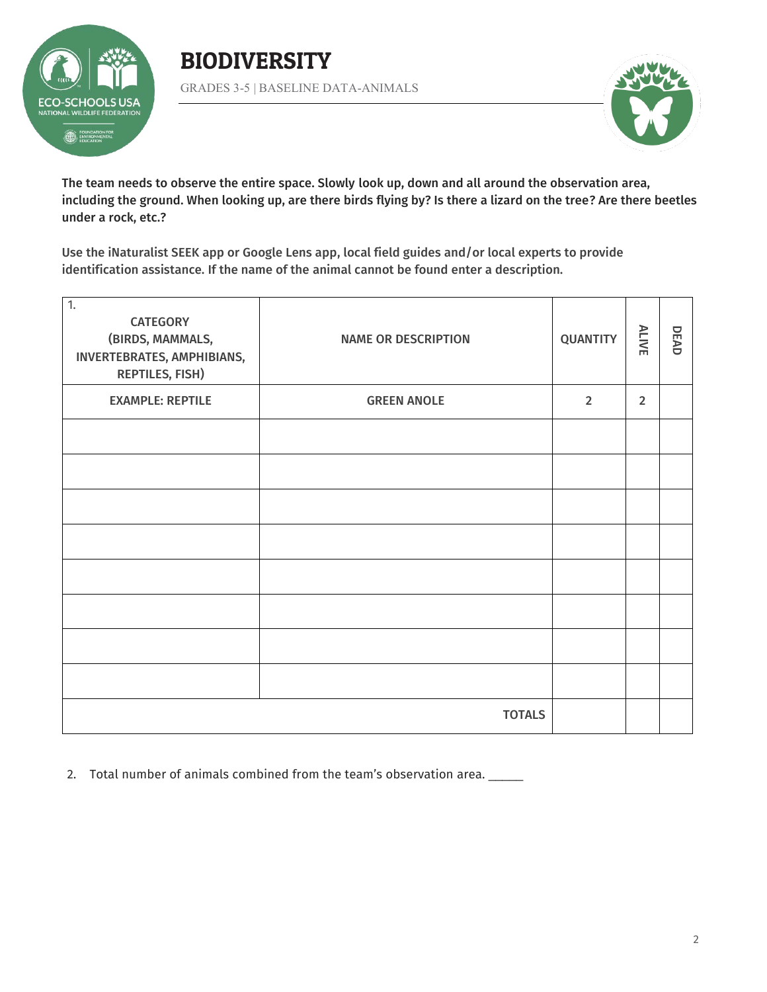

### BIODIVERSITY GRADES 3-5 | BASELINE DATA-ANIMALS



The team needs to observe the entire space. Slowly look up, down and all around the observation area, including the ground. When looking up, are there birds flying by? Is there a lizard on the tree? Are there beetles under a rock, etc.?

Use the iNaturalist SEEK app or Google Lens app, local field guides and/or local experts to provide identification assistance. If the name of the animal cannot be found enter a description.

| $\overline{1}$ .<br><b>CATEGORY</b><br>(BIRDS, MAMMALS,<br>INVERTEBRATES, AMPHIBIANS,<br><b>REPTILES, FISH)</b> | <b>NAME OR DESCRIPTION</b> | <b>QUANTITY</b> | <b>ALIVE</b>   | DEAD |
|-----------------------------------------------------------------------------------------------------------------|----------------------------|-----------------|----------------|------|
| <b>EXAMPLE: REPTILE</b>                                                                                         | <b>GREEN ANOLE</b>         | $\overline{2}$  | $\overline{2}$ |      |
|                                                                                                                 |                            |                 |                |      |
|                                                                                                                 |                            |                 |                |      |
|                                                                                                                 |                            |                 |                |      |
|                                                                                                                 |                            |                 |                |      |
|                                                                                                                 |                            |                 |                |      |
|                                                                                                                 |                            |                 |                |      |
|                                                                                                                 |                            |                 |                |      |
|                                                                                                                 |                            |                 |                |      |
| <b>TOTALS</b>                                                                                                   |                            |                 |                |      |

2. Total number of animals combined from the team's observation area. \_\_\_\_\_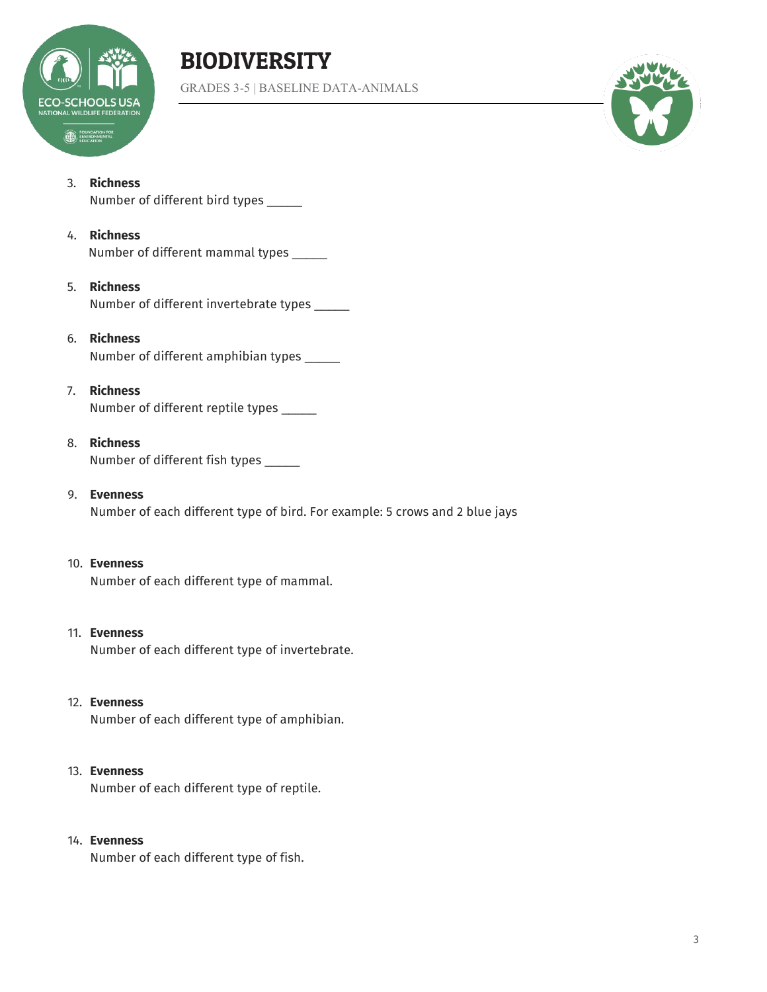

## BIODIVERSITY

GRADES 3-5 | BASELINE DATA-ANIMALS



#### 3. **Richness**

Number of different bird types \_\_\_\_\_

#### 4. **Richness**

Number of different mammal types \_\_\_\_\_

#### 5. **Richness**

Number of different invertebrate types \_\_\_\_\_

#### 6. **Richness**

Number of different amphibian types \_\_\_\_\_

#### 7. **Richness**

Number of different reptile types \_\_\_\_\_

#### 8. **Richness**

Number of different fish types \_\_\_\_\_

#### 9. **Evenness**

Number of each different type of bird. For example: 5 crows and 2 blue jays

#### 10. **Evenness**

Number of each different type of mammal.

### 11. **Evenness**

Number of each different type of invertebrate.

#### 12. **Evenness**

Number of each different type of amphibian.

#### 13. **Evenness**

Number of each different type of reptile.

#### 14. **Evenness**

Number of each different type of fish.